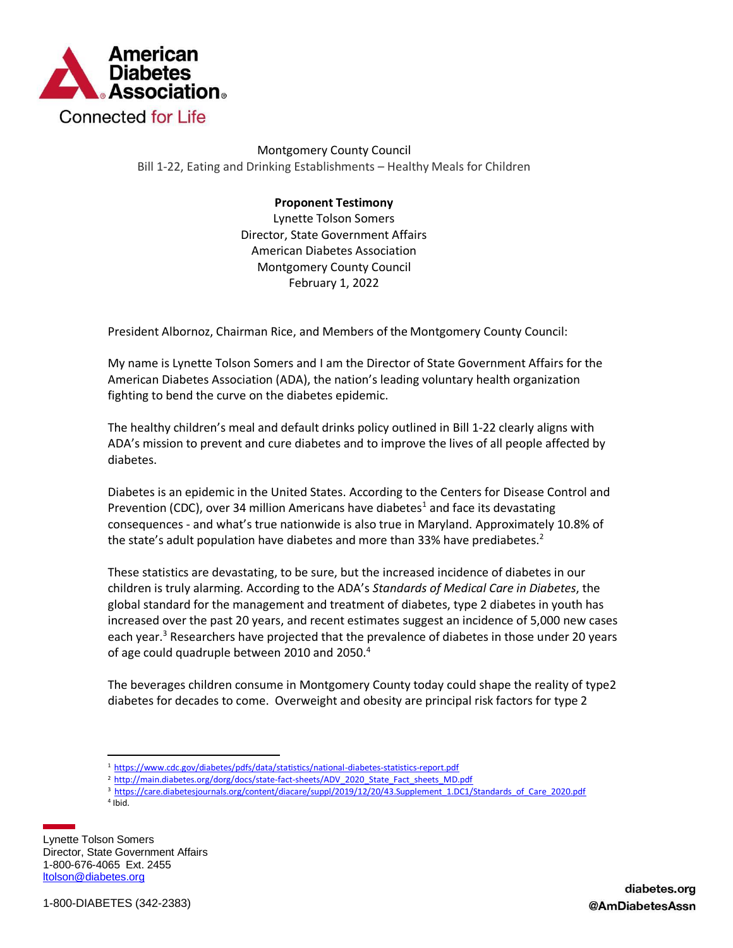

Montgomery County Council Bill 1-22, Eating and Drinking Establishments – Healthy Meals for Children

## **Proponent Testimony**

Lynette Tolson Somers Director, State Government Affairs American Diabetes Association Montgomery County Council February 1, 2022

President Albornoz, Chairman Rice, and Members of the Montgomery County Council:

My name is Lynette Tolson Somers and I am the Director of State Government Affairs for the American Diabetes Association (ADA), the nation's leading voluntary health organization fighting to bend the curve on the diabetes epidemic.

The healthy children's meal and default drinks policy outlined in Bill 1-22 clearly aligns with ADA's mission to prevent and cure diabetes and to improve the lives of all people affected by diabetes.

Diabetes is an epidemic in the United States. According to the Centers for Disease Control and Prevention (CDC), over 34 million Americans have diabetes<sup>1</sup> and face its devastating consequences - and what's true nationwide is also true in Maryland. Approximately 10.8% of the state's adult population have diabetes and more than 33% have prediabetes.<sup>2</sup>

These statistics are devastating, to be sure, but the increased incidence of diabetes in our children is truly alarming. According to the ADA's *Standards of Medical Care in Diabetes*, the global standard for the management and treatment of diabetes, type 2 diabetes in youth has increased over the past 20 years, and recent estimates suggest an incidence of 5,000 new cases each year.<sup>3</sup> Researchers have projected that the prevalence of diabetes in those under 20 years of age could quadruple between 2010 and 2050.<sup>4</sup>

The beverages children consume in Montgomery County today could shape the reality of type2 diabetes for decades to come. Overweight and obesity are principal risk factors for type 2

4 Ibid.

Lynette Tolson Somers Director, State Government Affairs 1-800-676-4065 Ext. 2455 ltolson@diabetes.org

<sup>1</sup> <https://www.cdc.gov/diabetes/pdfs/data/statistics/national-diabetes-statistics-report.pdf>

<sup>&</sup>lt;sup>2</sup> [http://main.diabetes.org/dorg/docs/state-fact-sheets/ADV\\_2020\\_State\\_Fact\\_sheets\\_MD.pdf](http://main.diabetes.org/dorg/docs/state-fact-sheets/ADV_2020_State_Fact_sheets_MD.pdf)

<sup>&</sup>lt;sup>3</sup> [https://care.diabetesjournals.org/content/diacare/suppl/2019/12/20/43.Supplement\\_1.DC1/Standards\\_of\\_Care\\_2020.pdf](https://care.diabetesjournals.org/content/diacare/suppl/2019/12/20/43.Supplement_1.DC1/Standards_of_Care_2020.pdf)